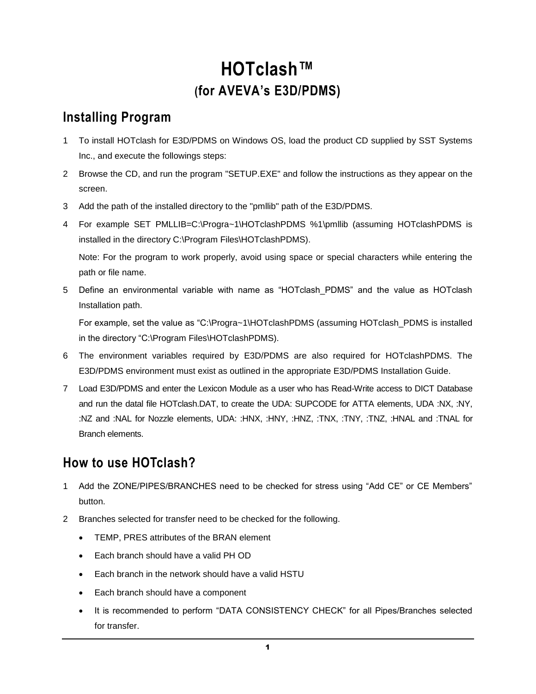# **HOTclash™ (for AVEVA's E3D/PDMS)**

# **Installing Program**

- 1 To install HOTclash for E3D/PDMS on Windows OS, load the product CD supplied by SST Systems Inc., and execute the followings steps:
- 2 Browse the CD, and run the program "SETUP.EXE" and follow the instructions as they appear on the screen.
- 3 Add the path of the installed directory to the "pmllib" path of the E3D/PDMS.
- 4 For example SET PMLLIB=C:\Progra~1\HOTclashPDMS %1\pmllib (assuming HOTclashPDMS is installed in the directory C:\Program Files\HOTclashPDMS).

Note: For the program to work properly, avoid using space or special characters while entering the path or file name.

5 Define an environmental variable with name as "HOTclash\_PDMS" and the value as HOTclash Installation path.

For example, set the value as "C:\Progra~1\HOTclashPDMS (assuming HOTclash\_PDMS is installed in the directory "C:\Program Files\HOTclashPDMS).

- 6 The environment variables required by E3D/PDMS are also required for HOTclashPDMS. The E3D/PDMS environment must exist as outlined in the appropriate E3D/PDMS Installation Guide.
- 7 Load E3D/PDMS and enter the Lexicon Module as a user who has Read-Write access to DICT Database and run the datal file HOTclash.DAT, to create the UDA: SUPCODE for ATTA elements, UDA :NX, :NY, :NZ and :NAL for Nozzle elements, UDA: :HNX, :HNY, :HNZ, :TNX, :TNY, :TNZ, :HNAL and :TNAL for Branch elements.

# **How to use HOTclash?**

- 1 Add the ZONE/PIPES/BRANCHES need to be checked for stress using "Add CE" or CE Members" button.
- 2 Branches selected for transfer need to be checked for the following.
	- TEMP, PRES attributes of the BRAN element
	- Each branch should have a valid PH OD
	- Each branch in the network should have a valid HSTU
	- Each branch should have a component
	- It is recommended to perform "DATA CONSISTENCY CHECK" for all Pipes/Branches selected for transfer.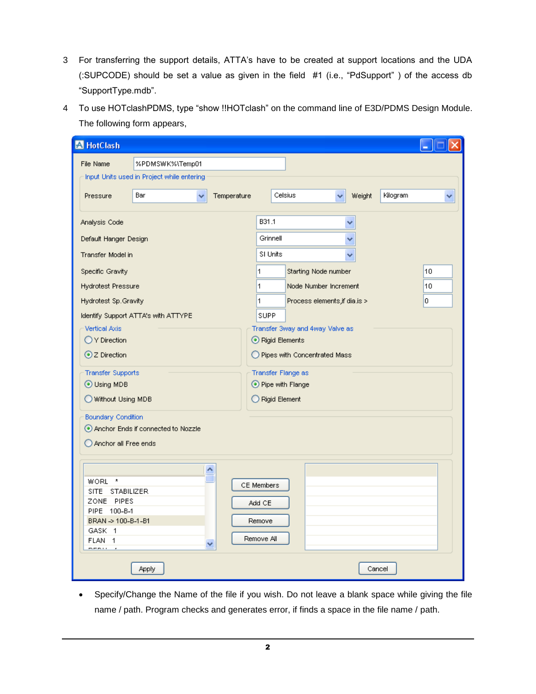- 3 For transferring the support details, ATTA's have to be created at support locations and the UDA (:SUPCODE) should be set a value as given in the field #1 (i.e., "PdSupport" ) of the access db "SupportType.mdb".
- 4 To use HOTclashPDMS, type "show !!HOTclash" on the command line of E3D/PDMS Design Module. The following form appears,

| <b>A</b> HotClash                                                                                                          |                                            |                  |                                              |                                 |                    |    |
|----------------------------------------------------------------------------------------------------------------------------|--------------------------------------------|------------------|----------------------------------------------|---------------------------------|--------------------|----|
| File Name                                                                                                                  | %PDMSWK%\Temp01                            |                  |                                              |                                 |                    |    |
|                                                                                                                            | Input Units used in Project while entering |                  |                                              |                                 |                    |    |
| Pressure                                                                                                                   | Bar                                        | Temperature<br>× | Celsius                                      | v                               | Kilogram<br>Weight |    |
| Analysis Code                                                                                                              |                                            |                  | B31.1                                        |                                 |                    |    |
| Default Hanger Design                                                                                                      |                                            |                  | Grinnell                                     |                                 |                    |    |
| Transfer Model in                                                                                                          |                                            |                  | SI Units                                     |                                 |                    |    |
| Specific Gravity                                                                                                           |                                            |                  | 1                                            | Starting Node number            |                    | 10 |
| <b>Hydrotest Pressure</b>                                                                                                  |                                            |                  | 1                                            | Node Number Increment           |                    | 10 |
| Hydrotest Sp.Gravity                                                                                                       |                                            |                  | 1                                            | Process elements, if dia.is >   |                    | O  |
|                                                                                                                            | Identify Support ATTA's with ATTYPE        |                  | <b>SUPP</b>                                  |                                 |                    |    |
| Vertical Axis                                                                                                              |                                            |                  |                                              | Transfer 3way and 4way Valve as |                    |    |
| O Y Direction                                                                                                              |                                            |                  | Rigid Elements                               |                                 |                    |    |
| ⊙ Z Direction                                                                                                              |                                            |                  | O Pipes with Concentrated Mass               |                                 |                    |    |
| <b>Transfer Supports</b>                                                                                                   |                                            |                  | Transfer Flange as                           |                                 |                    |    |
| ⊙ Using MDB                                                                                                                |                                            |                  | ⊙ Pipe with Flange                           |                                 |                    |    |
| Without Using MDB                                                                                                          |                                            |                  | Rigid Element                                |                                 |                    |    |
| <b>Boundary Condition</b>                                                                                                  |                                            |                  |                                              |                                 |                    |    |
|                                                                                                                            | Anchor Ends if connected to Nozzle         |                  |                                              |                                 |                    |    |
| Anchor all Free ends                                                                                                       |                                            |                  |                                              |                                 |                    |    |
| WORL *<br>SITE STABILIZER<br>ZONE PIPES<br>PIPE 100-B-1<br>BRAN -> 100-B-1-B1<br>GASK 1<br>FLAN<br>$\overline{1}$<br>----- |                                            | ۸<br>v           | CE Members<br>Add CE<br>Remove<br>Remove All |                                 |                    |    |
|                                                                                                                            | Apply                                      |                  |                                              |                                 | Cancel             |    |

 Specify/Change the Name of the file if you wish. Do not leave a blank space while giving the file name / path. Program checks and generates error, if finds a space in the file name / path.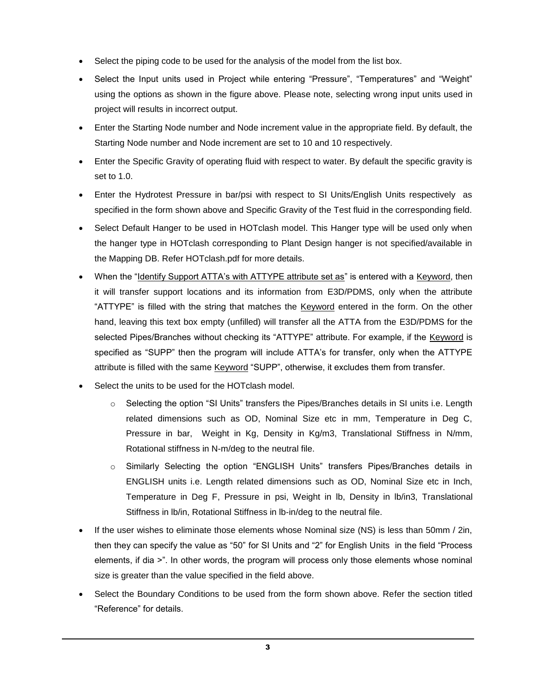- Select the piping code to be used for the analysis of the model from the list box.
- Select the Input units used in Project while entering "Pressure", "Temperatures" and "Weight" using the options as shown in the figure above. Please note, selecting wrong input units used in project will results in incorrect output.
- Enter the Starting Node number and Node increment value in the appropriate field. By default, the Starting Node number and Node increment are set to 10 and 10 respectively.
- Enter the Specific Gravity of operating fluid with respect to water. By default the specific gravity is set to 1.0.
- Enter the Hydrotest Pressure in bar/psi with respect to SI Units/English Units respectively as specified in the form shown above and Specific Gravity of the Test fluid in the corresponding field.
- Select Default Hanger to be used in HOTclash model. This Hanger type will be used only when the hanger type in HOTclash corresponding to Plant Design hanger is not specified/available in the Mapping DB. Refer HOTclash.pdf for more details.
- When the "Identify Support ATTA's with ATTYPE attribute set as" is entered with a Keyword, then it will transfer support locations and its information from E3D/PDMS, only when the attribute "ATTYPE" is filled with the string that matches the Keyword entered in the form. On the other hand, leaving this text box empty (unfilled) will transfer all the ATTA from the E3D/PDMS for the selected Pipes/Branches without checking its "ATTYPE" attribute. For example, if the Keyword is specified as "SUPP" then the program will include ATTA's for transfer, only when the ATTYPE attribute is filled with the same Keyword "SUPP", otherwise, it excludes them from transfer.
- Select the units to be used for the HOTclash model.
	- $\circ$  Selecting the option "SI Units" transfers the Pipes/Branches details in SI units i.e. Length related dimensions such as OD, Nominal Size etc in mm, Temperature in Deg C, Pressure in bar, Weight in Kg, Density in Kg/m3, Translational Stiffness in N/mm, Rotational stiffness in N-m/deg to the neutral file.
	- o Similarly Selecting the option "ENGLISH Units" transfers Pipes/Branches details in ENGLISH units i.e. Length related dimensions such as OD, Nominal Size etc in Inch, Temperature in Deg F, Pressure in psi, Weight in lb, Density in lb/in3, Translational Stiffness in lb/in, Rotational Stiffness in lb-in/deg to the neutral file.
- If the user wishes to eliminate those elements whose Nominal size (NS) is less than 50mm / 2in, then they can specify the value as "50" for SI Units and "2" for English Units in the field "Process elements, if dia >". In other words, the program will process only those elements whose nominal size is greater than the value specified in the field above.
- Select the Boundary Conditions to be used from the form shown above. Refer the section titled "Reference" for details.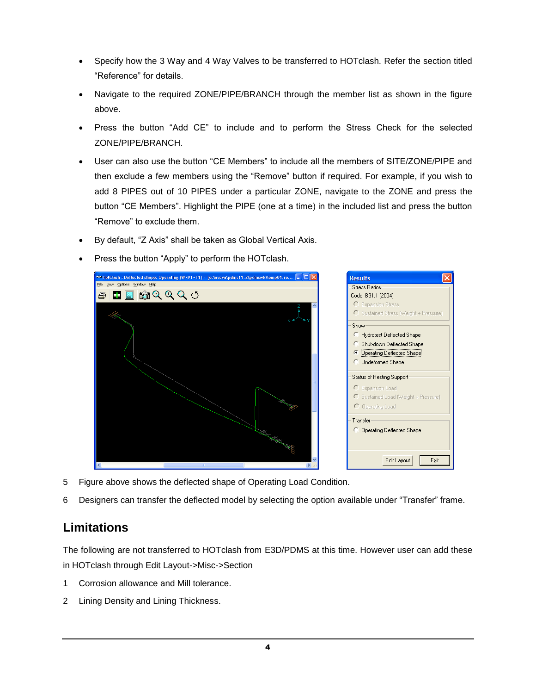- Specify how the 3 Way and 4 Way Valves to be transferred to HOTclash. Refer the section titled "Reference" for details.
- Navigate to the required ZONE/PIPE/BRANCH through the member list as shown in the figure above.
- Press the button "Add CE" to include and to perform the Stress Check for the selected ZONE/PIPE/BRANCH.
- User can also use the button "CE Members" to include all the members of SITE/ZONE/PIPE and then exclude a few members using the "Remove" button if required. For example, if you wish to add 8 PIPES out of 10 PIPES under a particular ZONE, navigate to the ZONE and press the button "CE Members". Highlight the PIPE (one at a time) in the included list and press the button "Remove" to exclude them.
- By default, "Z Axis" shall be taken as Global Vertical Axis.
- Press the button "Apply" to perform the HOTclash.



- 5 Figure above shows the deflected shape of Operating Load Condition.
- 6 Designers can transfer the deflected model by selecting the option available under "Transfer" frame.

# **Limitations**

The following are not transferred to HOTclash from E3D/PDMS at this time. However user can add these in HOTclash through Edit Layout->Misc->Section

- 1 Corrosion allowance and Mill tolerance.
- 2 Lining Density and Lining Thickness.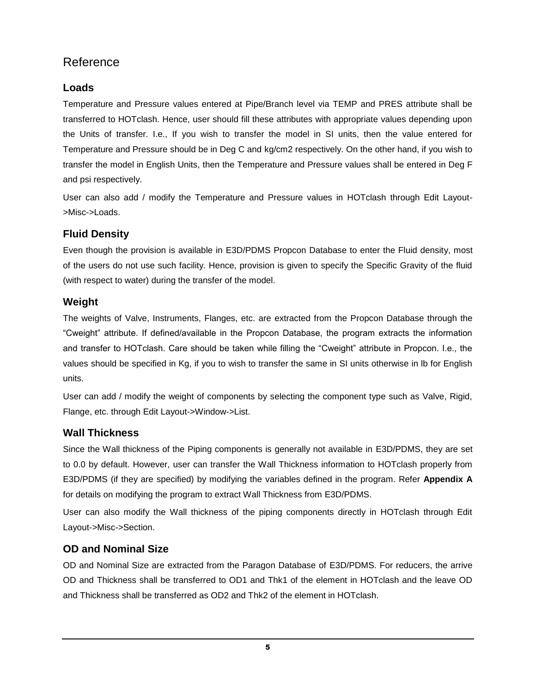# Reference

### **Loads**

Temperature and Pressure values entered at Pipe/Branch level via TEMP and PRES attribute shall be transferred to HOTclash. Hence, user should fill these attributes with appropriate values depending upon the Units of transfer. I.e., If you wish to transfer the model in SI units, then the value entered for Temperature and Pressure should be in Deg C and kg/cm2 respectively. On the other hand, if you wish to transfer the model in English Units, then the Temperature and Pressure values shall be entered in Deg F and psi respectively.

User can also add / modify the Temperature and Pressure values in HOTclash through Edit Layout- >Misc->Loads.

# **Fluid Density**

Even though the provision is available in E3D/PDMS Propcon Database to enter the Fluid density, most of the users do not use such facility. Hence, provision is given to specify the Specific Gravity of the fluid (with respect to water) during the transfer of the model.

## **Weight**

The weights of Valve, Instruments, Flanges, etc. are extracted from the Propcon Database through the "Cweight" attribute. If defined/available in the Propcon Database, the program extracts the information and transfer to HOTclash. Care should be taken while filling the "Cweight" attribute in Propcon. I.e., the values should be specified in Kg, if you to wish to transfer the same in SI units otherwise in lb for English units.

User can add / modify the weight of components by selecting the component type such as Valve, Rigid, Flange, etc. through Edit Layout->Window->List.

# **Wall Thickness**

Since the Wall thickness of the Piping components is generally not available in E3D/PDMS, they are set to 0.0 by default. However, user can transfer the Wall Thickness information to HOTclash properly from E3D/PDMS (if they are specified) by modifying the variables defined in the program. Refer **Appendix A** for details on modifying the program to extract Wall Thickness from E3D/PDMS.

User can also modify the Wall thickness of the piping components directly in HOTclash through Edit Layout->Misc->Section.

# **OD and Nominal Size**

OD and Nominal Size are extracted from the Paragon Database of E3D/PDMS. For reducers, the arrive OD and Thickness shall be transferred to OD1 and Thk1 of the element in HOTclash and the leave OD and Thickness shall be transferred as OD2 and Thk2 of the element in HOTclash.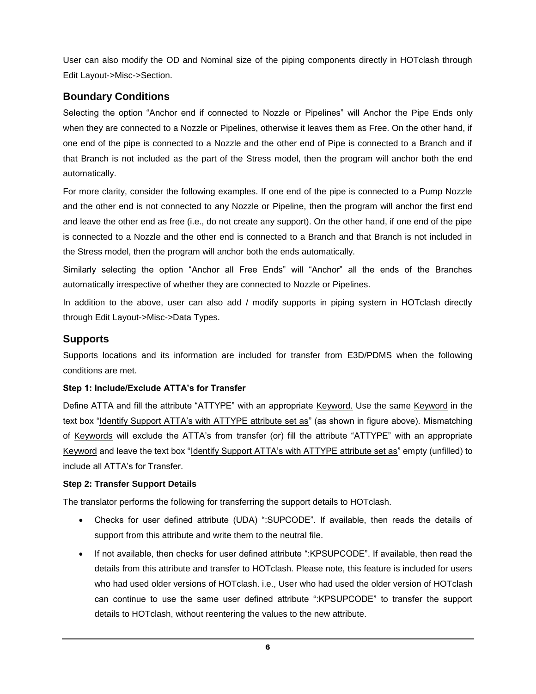User can also modify the OD and Nominal size of the piping components directly in HOTclash through Edit Layout->Misc->Section.

### **Boundary Conditions**

Selecting the option "Anchor end if connected to Nozzle or Pipelines" will Anchor the Pipe Ends only when they are connected to a Nozzle or Pipelines, otherwise it leaves them as Free. On the other hand, if one end of the pipe is connected to a Nozzle and the other end of Pipe is connected to a Branch and if that Branch is not included as the part of the Stress model, then the program will anchor both the end automatically.

For more clarity, consider the following examples. If one end of the pipe is connected to a Pump Nozzle and the other end is not connected to any Nozzle or Pipeline, then the program will anchor the first end and leave the other end as free (i.e., do not create any support). On the other hand, if one end of the pipe is connected to a Nozzle and the other end is connected to a Branch and that Branch is not included in the Stress model, then the program will anchor both the ends automatically.

Similarly selecting the option "Anchor all Free Ends" will "Anchor" all the ends of the Branches automatically irrespective of whether they are connected to Nozzle or Pipelines.

In addition to the above, user can also add / modify supports in piping system in HOTclash directly through Edit Layout->Misc->Data Types.

### **Supports**

Supports locations and its information are included for transfer from E3D/PDMS when the following conditions are met.

#### **Step 1: Include/Exclude ATTA's for Transfer**

Define ATTA and fill the attribute "ATTYPE" with an appropriate Keyword. Use the same Keyword in the text box "Identify Support ATTA's with ATTYPE attribute set as" (as shown in figure above). Mismatching of Keywords will exclude the ATTA's from transfer (or) fill the attribute "ATTYPE" with an appropriate Keyword and leave the text box "Identify Support ATTA's with ATTYPE attribute set as" empty (unfilled) to include all ATTA's for Transfer.

#### **Step 2: Transfer Support Details**

The translator performs the following for transferring the support details to HOTclash.

- Checks for user defined attribute (UDA) ":SUPCODE". If available, then reads the details of support from this attribute and write them to the neutral file.
- If not available, then checks for user defined attribute ":KPSUPCODE". If available, then read the details from this attribute and transfer to HOTclash. Please note, this feature is included for users who had used older versions of HOTclash. i.e., User who had used the older version of HOTclash can continue to use the same user defined attribute ":KPSUPCODE" to transfer the support details to HOTclash, without reentering the values to the new attribute.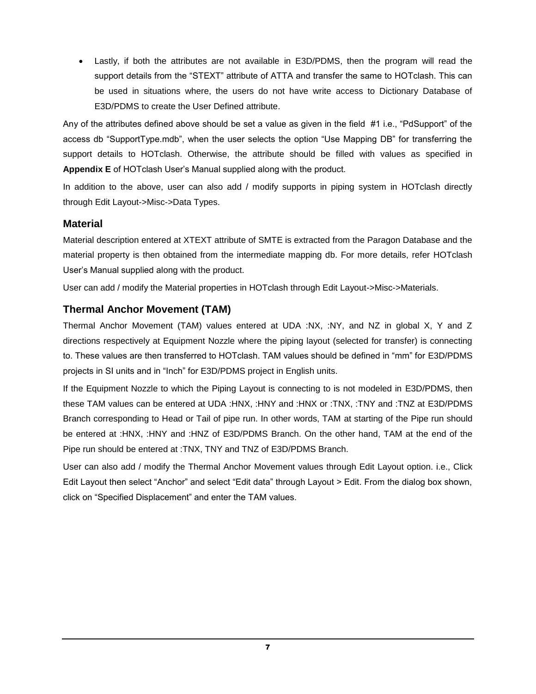Lastly, if both the attributes are not available in E3D/PDMS, then the program will read the support details from the "STEXT" attribute of ATTA and transfer the same to HOTclash. This can be used in situations where, the users do not have write access to Dictionary Database of E3D/PDMS to create the User Defined attribute.

Any of the attributes defined above should be set a value as given in the field #1 i.e., "PdSupport" of the access db "SupportType.mdb", when the user selects the option "Use Mapping DB" for transferring the support details to HOTclash. Otherwise, the attribute should be filled with values as specified in **Appendix E** of HOTclash User's Manual supplied along with the product.

In addition to the above, user can also add / modify supports in piping system in HOTclash directly through Edit Layout->Misc->Data Types.

#### **Material**

Material description entered at XTEXT attribute of SMTE is extracted from the Paragon Database and the material property is then obtained from the intermediate mapping db. For more details, refer HOTclash User's Manual supplied along with the product.

User can add / modify the Material properties in HOTclash through Edit Layout->Misc->Materials.

### **Thermal Anchor Movement (TAM)**

Thermal Anchor Movement (TAM) values entered at UDA :NX, :NY, and NZ in global X, Y and Z directions respectively at Equipment Nozzle where the piping layout (selected for transfer) is connecting to. These values are then transferred to HOTclash. TAM values should be defined in "mm" for E3D/PDMS projects in SI units and in "Inch" for E3D/PDMS project in English units.

If the Equipment Nozzle to which the Piping Layout is connecting to is not modeled in E3D/PDMS, then these TAM values can be entered at UDA :HNX, :HNY and :HNX or :TNX, :TNY and :TNZ at E3D/PDMS Branch corresponding to Head or Tail of pipe run. In other words, TAM at starting of the Pipe run should be entered at :HNX, :HNY and :HNZ of E3D/PDMS Branch. On the other hand, TAM at the end of the Pipe run should be entered at :TNX, TNY and TNZ of E3D/PDMS Branch.

User can also add / modify the Thermal Anchor Movement values through Edit Layout option. i.e., Click Edit Layout then select "Anchor" and select "Edit data" through Layout > Edit. From the dialog box shown, click on "Specified Displacement" and enter the TAM values.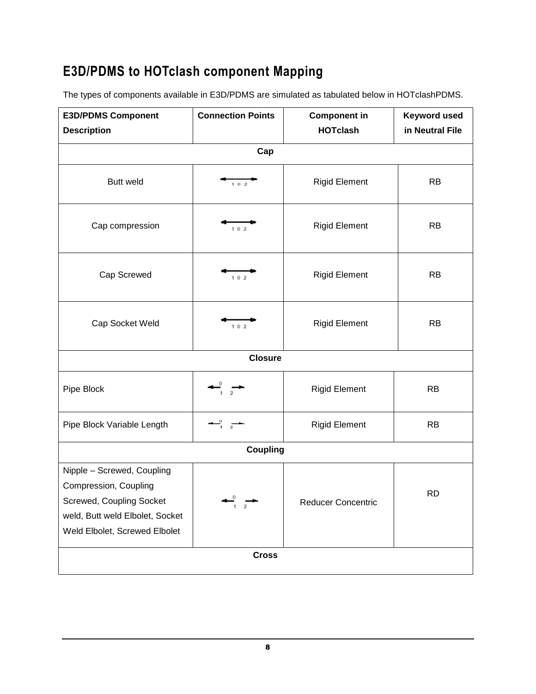# **E3D/PDMS to HOTclash component Mapping**

The types of components available in E3D/PDMS are simulated as tabulated below in HOTclashPDMS.

| <b>E3D/PDMS Component</b>                                                                                                                           | <b>Connection Points</b>    | <b>Component in</b>  | <b>Keyword used</b> |  |  |
|-----------------------------------------------------------------------------------------------------------------------------------------------------|-----------------------------|----------------------|---------------------|--|--|
| <b>Description</b>                                                                                                                                  |                             | <b>HOTclash</b>      | in Neutral File     |  |  |
|                                                                                                                                                     | Cap                         |                      |                     |  |  |
| <b>Butt weld</b>                                                                                                                                    | 102                         | <b>Rigid Element</b> | <b>RB</b>           |  |  |
| Cap compression                                                                                                                                     | 102                         | <b>Rigid Element</b> | <b>RB</b>           |  |  |
| Cap Screwed                                                                                                                                         | 102                         | <b>Rigid Element</b> | <b>RB</b>           |  |  |
| Cap Socket Weld                                                                                                                                     | 102                         | <b>Rigid Element</b> | <b>RB</b>           |  |  |
|                                                                                                                                                     | <b>Closure</b>              |                      |                     |  |  |
| Pipe Block                                                                                                                                          |                             | <b>Rigid Element</b> | <b>RB</b>           |  |  |
| Pipe Block Variable Length                                                                                                                          | $\frac{0}{1}$ $\frac{1}{2}$ | <b>Rigid Element</b> | <b>RB</b>           |  |  |
| <b>Coupling</b>                                                                                                                                     |                             |                      |                     |  |  |
| Nipple - Screwed, Coupling<br>Compression, Coupling<br>Screwed, Coupling Socket<br>weld, Butt weld Elbolet, Socket<br>Weld Elbolet, Screwed Elbolet | 0                           | Reducer Concentric   | <b>RD</b>           |  |  |
| <b>Cross</b>                                                                                                                                        |                             |                      |                     |  |  |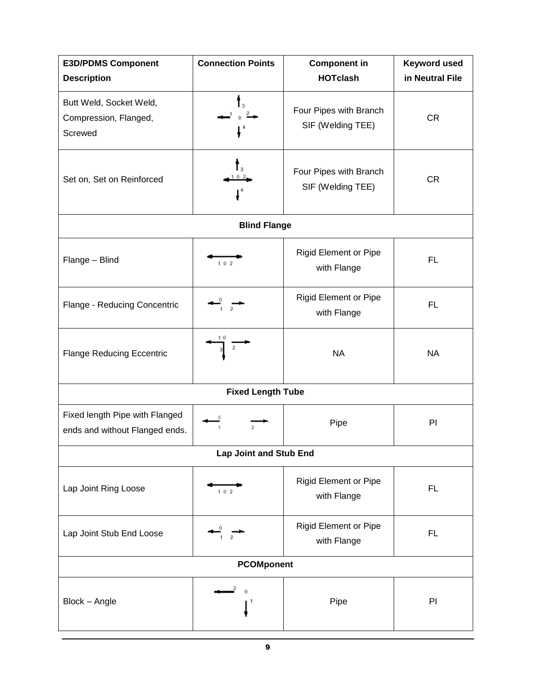| <b>E3D/PDMS Component</b><br><b>Description</b>                  | <b>Connection Points</b>      | <b>Component in</b><br><b>HOTclash</b>      | <b>Keyword used</b><br>in Neutral File |  |  |
|------------------------------------------------------------------|-------------------------------|---------------------------------------------|----------------------------------------|--|--|
| Butt Weld, Socket Weld,<br>Compression, Flanged,<br>Screwed      |                               | Four Pipes with Branch<br>SIF (Welding TEE) | <b>CR</b>                              |  |  |
| Set on, Set on Reinforced                                        |                               | Four Pipes with Branch<br>SIF (Welding TEE) | <b>CR</b>                              |  |  |
|                                                                  | <b>Blind Flange</b>           |                                             |                                        |  |  |
| Flange - Blind                                                   | 102                           | <b>Rigid Element or Pipe</b><br>with Flange | <b>FL</b>                              |  |  |
| Flange - Reducing Concentric                                     |                               | Rigid Element or Pipe<br>with Flange        | <b>FL</b>                              |  |  |
| <b>Flange Reducing Eccentric</b>                                 | 2                             | <b>NA</b>                                   | <b>NA</b>                              |  |  |
|                                                                  | <b>Fixed Length Tube</b>      |                                             |                                        |  |  |
| Fixed length Pipe with Flanged<br>ends and without Flanged ends. | 2                             | Pipe                                        | PI                                     |  |  |
|                                                                  | <b>Lap Joint and Stub End</b> |                                             |                                        |  |  |
| Lap Joint Ring Loose                                             | 102                           | <b>Rigid Element or Pipe</b><br>with Flange | FL.                                    |  |  |
| Lap Joint Stub End Loose                                         |                               | <b>Rigid Element or Pipe</b><br>with Flange | <b>FL</b>                              |  |  |
| <b>PCOMponent</b>                                                |                               |                                             |                                        |  |  |
| Block - Angle                                                    |                               | Pipe                                        | PI                                     |  |  |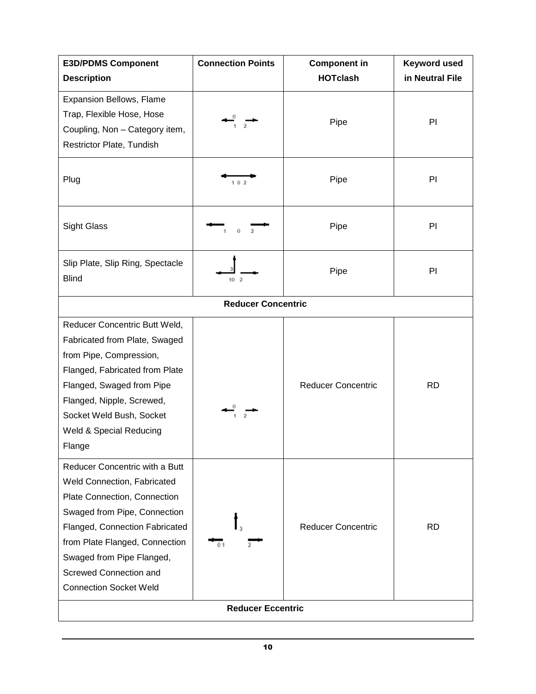| <b>E3D/PDMS Component</b>                                   | <b>Connection Points</b> | <b>Component in</b>       | <b>Keyword used</b> |  |  |  |
|-------------------------------------------------------------|--------------------------|---------------------------|---------------------|--|--|--|
| <b>Description</b>                                          |                          | <b>HOTclash</b>           | in Neutral File     |  |  |  |
| Expansion Bellows, Flame                                    |                          |                           |                     |  |  |  |
| Trap, Flexible Hose, Hose<br>Coupling, Non - Category item, |                          | Pipe                      | PI                  |  |  |  |
| Restrictor Plate, Tundish                                   |                          |                           |                     |  |  |  |
|                                                             |                          |                           |                     |  |  |  |
| Plug                                                        | 102                      | Pipe                      | PI                  |  |  |  |
|                                                             |                          |                           |                     |  |  |  |
| <b>Sight Glass</b>                                          |                          | Pipe                      | PI                  |  |  |  |
|                                                             | Ō                        |                           |                     |  |  |  |
| Slip Plate, Slip Ring, Spectacle                            |                          |                           |                     |  |  |  |
| <b>Blind</b>                                                | 10 <sub>2</sub>          | Pipe                      | PI                  |  |  |  |
| <b>Reducer Concentric</b>                                   |                          |                           |                     |  |  |  |
| Reducer Concentric Butt Weld,                               |                          |                           |                     |  |  |  |
| Fabricated from Plate, Swaged                               |                          |                           |                     |  |  |  |
| from Pipe, Compression,                                     |                          |                           |                     |  |  |  |
| Flanged, Fabricated from Plate                              |                          |                           |                     |  |  |  |
| Flanged, Swaged from Pipe                                   |                          | <b>Reducer Concentric</b> | <b>RD</b>           |  |  |  |
| Flanged, Nipple, Screwed,                                   |                          |                           |                     |  |  |  |
| Socket Weld Bush, Socket                                    |                          |                           |                     |  |  |  |
| Weld & Special Reducing                                     |                          |                           |                     |  |  |  |
| Flange                                                      |                          |                           |                     |  |  |  |
| Reducer Concentric with a Butt                              |                          |                           |                     |  |  |  |
| Weld Connection, Fabricated                                 |                          |                           |                     |  |  |  |
| Plate Connection, Connection                                |                          |                           |                     |  |  |  |
| Swaged from Pipe, Connection                                |                          |                           |                     |  |  |  |
| Flanged, Connection Fabricated                              |                          | <b>Reducer Concentric</b> | <b>RD</b>           |  |  |  |
| from Plate Flanged, Connection                              | ñ١                       |                           |                     |  |  |  |
| Swaged from Pipe Flanged,                                   |                          |                           |                     |  |  |  |
| Screwed Connection and                                      |                          |                           |                     |  |  |  |
| <b>Connection Socket Weld</b>                               |                          |                           |                     |  |  |  |
| <b>Reducer Eccentric</b>                                    |                          |                           |                     |  |  |  |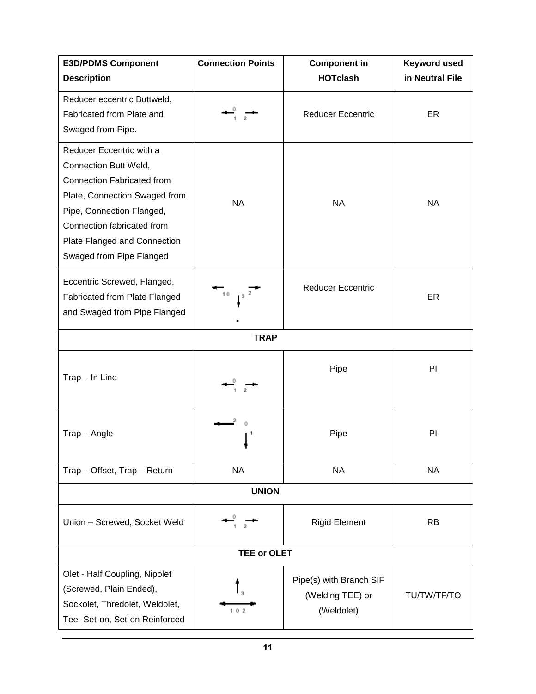| <b>E3D/PDMS Component</b>                                                                                                                                                                                                               | <b>Connection Points</b> | <b>Component in</b>                                       | <b>Keyword used</b> |  |  |
|-----------------------------------------------------------------------------------------------------------------------------------------------------------------------------------------------------------------------------------------|--------------------------|-----------------------------------------------------------|---------------------|--|--|
| <b>Description</b>                                                                                                                                                                                                                      |                          | <b>HOTclash</b>                                           | in Neutral File     |  |  |
| Reducer eccentric Buttweld,<br>Fabricated from Plate and<br>Swaged from Pipe.                                                                                                                                                           |                          | <b>Reducer Eccentric</b>                                  | ER                  |  |  |
| Reducer Eccentric with a<br>Connection Butt Weld,<br>Connection Fabricated from<br>Plate, Connection Swaged from<br>Pipe, Connection Flanged,<br>Connection fabricated from<br>Plate Flanged and Connection<br>Swaged from Pipe Flanged | <b>NA</b>                | <b>NA</b>                                                 | <b>NA</b>           |  |  |
| Eccentric Screwed, Flanged,<br>Fabricated from Plate Flanged<br>and Swaged from Pipe Flanged                                                                                                                                            | 10                       | <b>Reducer Eccentric</b>                                  | ER                  |  |  |
|                                                                                                                                                                                                                                         | <b>TRAP</b>              |                                                           |                     |  |  |
| Trap - In Line                                                                                                                                                                                                                          |                          | Pipe                                                      | PI                  |  |  |
| Trap - Angle                                                                                                                                                                                                                            |                          | Pipe                                                      | PI                  |  |  |
| Trap - Offset, Trap - Return                                                                                                                                                                                                            | <b>NA</b>                | <b>NA</b>                                                 | <b>NA</b>           |  |  |
| <b>UNION</b>                                                                                                                                                                                                                            |                          |                                                           |                     |  |  |
| Union - Screwed, Socket Weld                                                                                                                                                                                                            |                          | <b>Rigid Element</b>                                      | <b>RB</b>           |  |  |
| TEE or OLET                                                                                                                                                                                                                             |                          |                                                           |                     |  |  |
| Olet - Half Coupling, Nipolet<br>(Screwed, Plain Ended),<br>Sockolet, Thredolet, Weldolet,<br>Tee- Set-on, Set-on Reinforced                                                                                                            | 102                      | Pipe(s) with Branch SIF<br>(Welding TEE) or<br>(Weldolet) | TU/TW/TF/TO         |  |  |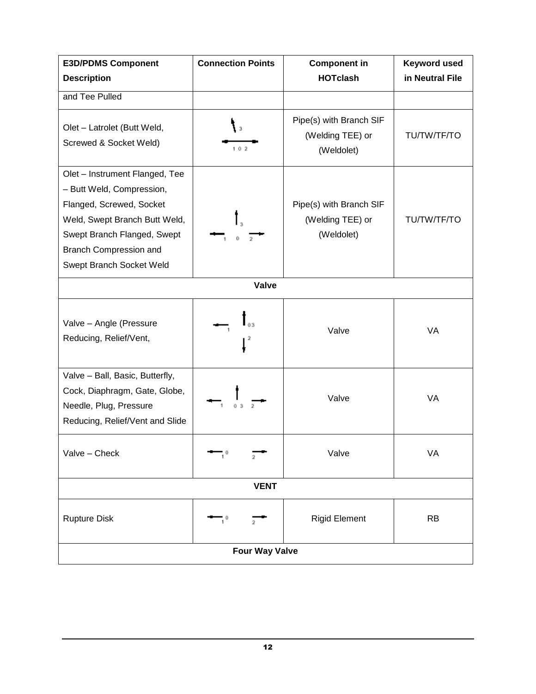| <b>E3D/PDMS Component</b>                                                                                                                                                                                     | <b>Connection Points</b> | <b>Component in</b>                                       | <b>Keyword used</b> |  |  |
|---------------------------------------------------------------------------------------------------------------------------------------------------------------------------------------------------------------|--------------------------|-----------------------------------------------------------|---------------------|--|--|
| <b>Description</b>                                                                                                                                                                                            |                          | <b>HOTclash</b>                                           | in Neutral File     |  |  |
| and Tee Pulled                                                                                                                                                                                                |                          |                                                           |                     |  |  |
| Olet - Latrolet (Butt Weld,<br>Screwed & Socket Weld)                                                                                                                                                         | 102                      | Pipe(s) with Branch SIF<br>(Welding TEE) or<br>(Weldolet) | TU/TW/TF/TO         |  |  |
| Olet - Instrument Flanged, Tee<br>- Butt Weld, Compression,<br>Flanged, Screwed, Socket<br>Weld, Swept Branch Butt Weld,<br>Swept Branch Flanged, Swept<br>Branch Compression and<br>Swept Branch Socket Weld | l s                      | Pipe(s) with Branch SIF<br>(Welding TEE) or<br>(Weldolet) | <b>TU/TW/TF/TO</b>  |  |  |
|                                                                                                                                                                                                               | <b>Valve</b>             |                                                           |                     |  |  |
| Valve - Angle (Pressure<br>Reducing, Relief/Vent,                                                                                                                                                             | 2                        | Valve                                                     | <b>VA</b>           |  |  |
| Valve - Ball, Basic, Butterfly,<br>Cock, Diaphragm, Gate, Globe,<br>Needle, Plug, Pressure<br>Reducing, Relief/Vent and Slide                                                                                 |                          | Valve                                                     | <b>VA</b>           |  |  |
| Valve - Check                                                                                                                                                                                                 |                          | Valve                                                     | VA                  |  |  |
| <b>VENT</b>                                                                                                                                                                                                   |                          |                                                           |                     |  |  |
| <b>Rupture Disk</b>                                                                                                                                                                                           | 2.                       | <b>Rigid Element</b>                                      | <b>RB</b>           |  |  |
| <b>Four Way Valve</b>                                                                                                                                                                                         |                          |                                                           |                     |  |  |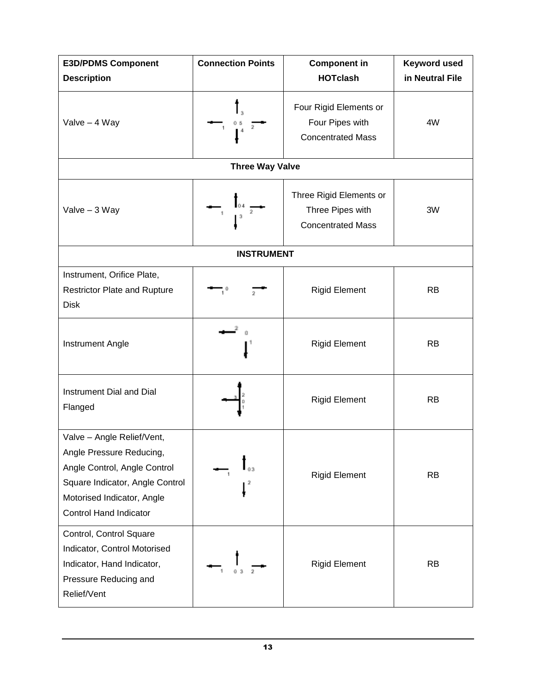| <b>E3D/PDMS Component</b>                                                                                                                                                                | <b>Connection Points</b><br><b>Component in</b>          |                                                                         | <b>Keyword used</b> |
|------------------------------------------------------------------------------------------------------------------------------------------------------------------------------------------|----------------------------------------------------------|-------------------------------------------------------------------------|---------------------|
| <b>Description</b>                                                                                                                                                                       |                                                          | <b>HOTclash</b>                                                         | in Neutral File     |
| Valve - 4 Way                                                                                                                                                                            | $\begin{array}{rrrr} & & 0 & 5 \\ & 1 & & 4 \end{array}$ | Four Rigid Elements or<br>Four Pipes with<br><b>Concentrated Mass</b>   | 4W                  |
|                                                                                                                                                                                          | <b>Three Way Valve</b>                                   |                                                                         |                     |
| Valve - 3 Way                                                                                                                                                                            | $\begin{array}{c c}\n\hline\n\end{array}$                | Three Rigid Elements or<br>Three Pipes with<br><b>Concentrated Mass</b> | 3W                  |
|                                                                                                                                                                                          | <b>INSTRUMENT</b>                                        |                                                                         |                     |
| Instrument, Orifice Plate,<br><b>Restrictor Plate and Rupture</b><br><b>Disk</b>                                                                                                         |                                                          | <b>Rigid Element</b>                                                    | <b>RB</b>           |
| <b>Instrument Angle</b>                                                                                                                                                                  |                                                          | <b>Rigid Element</b>                                                    | <b>RB</b>           |
| Instrument Dial and Dial<br>Flanged                                                                                                                                                      |                                                          | <b>Rigid Element</b>                                                    | <b>RB</b>           |
| Valve - Angle Relief/Vent,<br>Angle Pressure Reducing,<br>Angle Control, Angle Control<br>Square Indicator, Angle Control<br>Motorised Indicator, Angle<br><b>Control Hand Indicator</b> |                                                          | <b>Rigid Element</b>                                                    | <b>RB</b>           |
| Control, Control Square<br>Indicator, Control Motorised<br>Indicator, Hand Indicator,<br>Pressure Reducing and<br>Relief/Vent                                                            |                                                          | <b>Rigid Element</b>                                                    | <b>RB</b>           |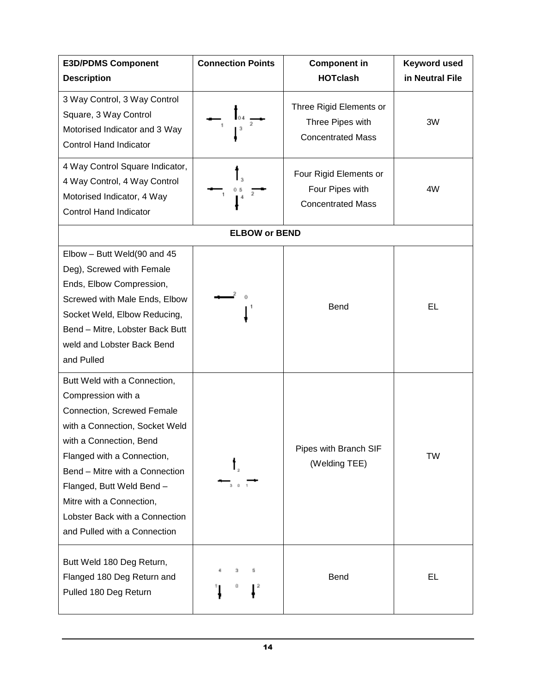| <b>E3D/PDMS Component</b>                                                                                                                                                                                                                                                                                                                | <b>Connection Points</b> | <b>Component in</b><br><b>HOTclash</b>                                  | <b>Keyword used</b> |
|------------------------------------------------------------------------------------------------------------------------------------------------------------------------------------------------------------------------------------------------------------------------------------------------------------------------------------------|--------------------------|-------------------------------------------------------------------------|---------------------|
| <b>Description</b>                                                                                                                                                                                                                                                                                                                       |                          |                                                                         | in Neutral File     |
| 3 Way Control, 3 Way Control<br>Square, 3 Way Control<br>Motorised Indicator and 3 Way<br><b>Control Hand Indicator</b>                                                                                                                                                                                                                  |                          | Three Rigid Elements or<br>Three Pipes with<br><b>Concentrated Mass</b> | 3W                  |
| 4 Way Control Square Indicator,<br>4 Way Control, 4 Way Control<br>Motorised Indicator, 4 Way<br><b>Control Hand Indicator</b>                                                                                                                                                                                                           |                          | Four Rigid Elements or<br>Four Pipes with<br><b>Concentrated Mass</b>   | 4W                  |
|                                                                                                                                                                                                                                                                                                                                          | <b>ELBOW or BEND</b>     |                                                                         |                     |
| Elbow - Butt Weld(90 and 45<br>Deg), Screwed with Female<br>Ends, Elbow Compression,<br>Screwed with Male Ends, Elbow<br>Socket Weld, Elbow Reducing,<br>Bend - Mitre, Lobster Back Butt<br>weld and Lobster Back Bend<br>and Pulled                                                                                                     |                          | <b>Bend</b>                                                             | <b>EL</b>           |
| Butt Weld with a Connection,<br>Compression with a<br>Connection, Screwed Female<br>with a Connection, Socket Weld<br>with a Connection, Bend<br>Flanged with a Connection,<br>Bend - Mitre with a Connection<br>Flanged, Butt Weld Bend -<br>Mitre with a Connection,<br>Lobster Back with a Connection<br>and Pulled with a Connection | 301                      | Pipes with Branch SIF<br>(Welding TEE)                                  | TW                  |
| Butt Weld 180 Deg Return,<br>Flanged 180 Deg Return and<br>Pulled 180 Deg Return                                                                                                                                                                                                                                                         | 5<br>- 2<br>o            | Bend                                                                    | EL                  |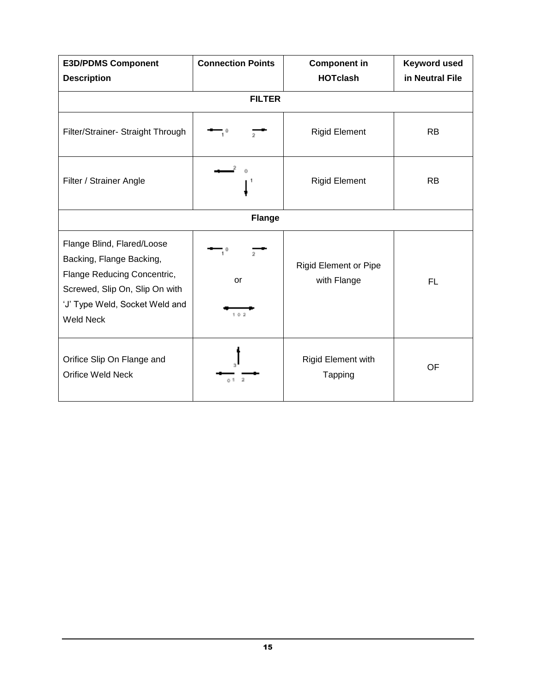| <b>E3D/PDMS Component</b><br><b>Description</b>                                                                                                                               | <b>Connection Points</b> | <b>Component in</b><br><b>HOTclash</b>      | <b>Keyword used</b><br>in Neutral File |
|-------------------------------------------------------------------------------------------------------------------------------------------------------------------------------|--------------------------|---------------------------------------------|----------------------------------------|
|                                                                                                                                                                               | <b>FILTER</b>            |                                             |                                        |
| Filter/Strainer- Straight Through                                                                                                                                             |                          | <b>Rigid Element</b>                        | <b>RB</b>                              |
| Filter / Strainer Angle                                                                                                                                                       |                          | <b>Rigid Element</b>                        | <b>RB</b>                              |
|                                                                                                                                                                               | <b>Flange</b>            |                                             |                                        |
| Flange Blind, Flared/Loose<br>Backing, Flange Backing,<br>Flange Reducing Concentric,<br>Screwed, Slip On, Slip On with<br>'J' Type Weld, Socket Weld and<br><b>Weld Neck</b> | $^{2}$<br>or<br>102      | <b>Rigid Element or Pipe</b><br>with Flange | FL.                                    |
| Orifice Slip On Flange and<br><b>Orifice Weld Neck</b>                                                                                                                        | o ti                     | Rigid Element with<br>Tapping               | <b>OF</b>                              |